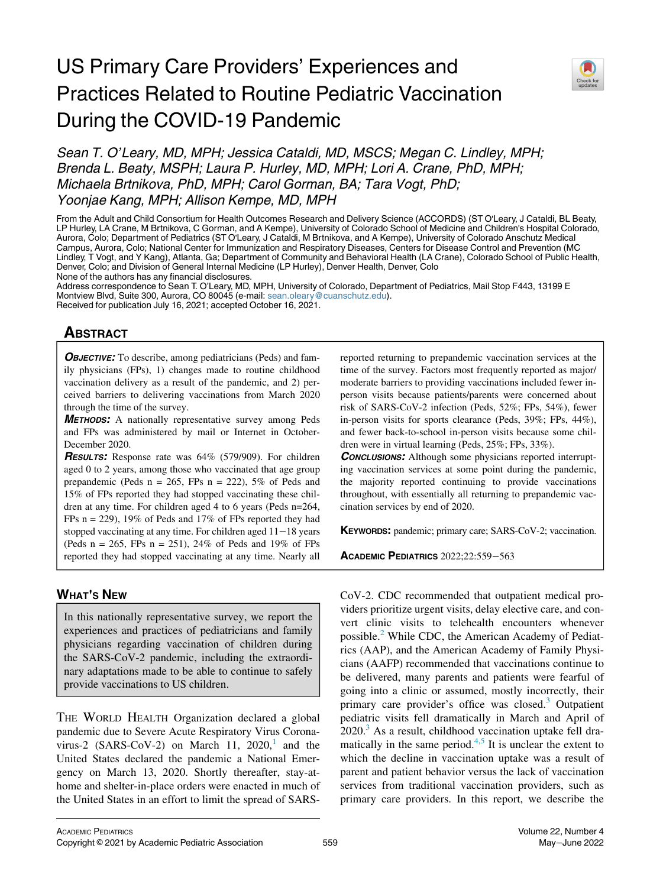## US Primary Care Providers' Experiences and Practices Related to Routine Pediatric Vaccination During the COVID-19 Pandemic



Sean T. O'Leary, MD, MPH; Jessica Cataldi, MD, MSCS; Megan C. Lindley, MPH; Brenda L. Beaty, MSPH; Laura P. Hurley, MD, MPH; Lori A. Crane, PhD, MPH; Michaela Brtnikova, PhD, MPH; Carol Gorman, BA; Tara Vogt, PhD; Yoonjae Kang, MPH; Allison Kempe, MD, MPH

From the Adult and Child Consortium for Health Outcomes Research and Delivery Science (ACCORDS) (ST O'Leary, J Cataldi, BL Beaty, LP Hurley, LA Crane, M Brtnikova, C Gorman, and A Kempe), University of Colorado School of Medicine and Children's Hospital Colorado, Aurora, Colo; Department of Pediatrics (ST O'Leary, J Cataldi, M Brtnikova, and A Kempe), University of Colorado Anschutz Medical Campus, Aurora, Colo; National Center for Immunization and Respiratory Diseases, Centers for Disease Control and Prevention (MC Lindley, T Vogt, and Y Kang), Atlanta, Ga; Department of Community and Behavioral Health (LA Crane), Colorado School of Public Health, Denver, Colo; and Division of General Internal Medicine (LP Hurley), Denver Health, Denver, Colo None of the authors has any financial disclosures.

Address correspondence to Sean T. O'Leary, MD, MPH, University of Colorado, Department of Pediatrics, Mail Stop F443, 13199 E Montview Blvd, Suite 300, Aurora, CO 80045 (e-mail: [sean.oleary@cuanschutz.edu](mailto:sean.oleary@cuanschutz.edu)). Received for publication July 16, 2021; accepted October 16, 2021.

# <u>ABSTRACT</u>

**OBJECTIVE:** To describe, among pediatricians (Peds) and family physicians (FPs), 1) changes made to routine childhood vaccination delivery as a result of the pandemic, and 2) perceived barriers to delivering vaccinations from March 2020 through the time of the survey.

**METHODS:** A nationally representative survey among Peds and FPs was administered by mail or Internet in October-December 2020.

**RESULTS:** Response rate was 64% (579/909). For children aged 0 to 2 years, among those who vaccinated that age group prepandemic (Peds  $n = 265$ , FPs  $n = 222$ ), 5% of Peds and 15% of FPs reported they had stopped vaccinating these children at any time. For children aged 4 to 6 years (Peds n=264, FPs  $n = 229$ , 19% of Peds and 17% of FPs reported they had stopped vaccinating at any time. For children aged 11−18 years (Peds  $n = 265$ , FPs  $n = 251$ ), 24% of Peds and 19% of FPs reported they had stopped vaccinating at any time. Nearly all

### WHAT'S NEW

In this nationally representative survey, we report the experiences and practices of pediatricians and family physicians regarding vaccination of children during the SARS-CoV-2 pandemic, including the extraordinary adaptations made to be able to continue to safely provide vaccinations to US children.

THE WORLD HEALTH Organization declared a global pandemic due to Severe Acute Respiratory Virus Corona-virus-2 (SARS-CoV-2) on March [1](#page-3-0)1,  $2020$ , and the United States declared the pandemic a National Emergency on March 13, 2020. Shortly thereafter, stay-athome and shelter-in-place orders were enacted in much of the United States in an effort to limit the spread of SARS- reported returning to prepandemic vaccination services at the time of the survey. Factors most frequently reported as major/ moderate barriers to providing vaccinations included fewer inperson visits because patients/parents were concerned about risk of SARS-CoV-2 infection (Peds, 52%; FPs, 54%), fewer in-person visits for sports clearance (Peds, 39%; FPs, 44%), and fewer back-to-school in-person visits because some children were in virtual learning (Peds, 25%; FPs, 33%).

**CONCLUSIONS:** Although some physicians reported interrupting vaccination services at some point during the pandemic, the majority reported continuing to provide vaccinations throughout, with essentially all returning to prepandemic vaccination services by end of 2020.

KEYWORDS: pandemic; primary care; SARS-CoV-2; vaccination.

ACADEMIC PEDIATRICS 2022;22:559−<sup>563</sup>

CoV-2. CDC recommended that outpatient medical providers prioritize urgent visits, delay elective care, and convert clinic visits to telehealth encounters whenever possible.[2](#page-3-1) While CDC, the American Academy of Pediatrics (AAP), and the American Academy of Family Physicians (AAFP) recommended that vaccinations continue to be delivered, many parents and patients were fearful of going into a clinic or assumed, mostly incorrectly, their primary care provider's office was closed.<sup>[3](#page-3-2)</sup> Outpatient pediatric visits fell dramatically in March and April of  $2020$ .<sup>[3](#page-3-2)</sup> As a result, childhood vaccination uptake fell dramatically in the same period. $4.5$  $4.5$  It is unclear the extent to which the decline in vaccination uptake was a result of parent and patient behavior versus the lack of vaccination services from traditional vaccination providers, such as primary care providers. In this report, we describe the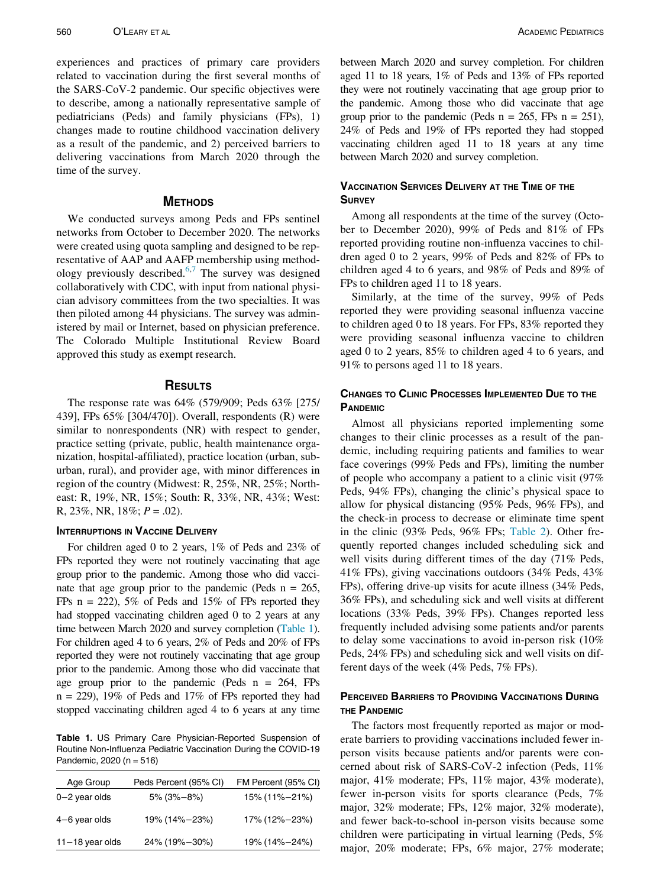experiences and practices of primary care providers related to vaccination during the first several months of the SARS-CoV-2 pandemic. Our specific objectives were to describe, among a nationally representative sample of pediatricians (Peds) and family physicians (FPs), 1) changes made to routine childhood vaccination delivery as a result of the pandemic, and 2) perceived barriers to delivering vaccinations from March 2020 through the time of the survey.

We conducted surveys among Peds and FPs sentinel networks from October to December 2020. The networks were created using quota sampling and designed to be representative of AAP and AAFP membership using methodology previously described. $6,7$  $6,7$  The survey was designed collaboratively with CDC, with input from national physician advisory committees from the two specialties. It was then piloted among 44 physicians. The survey was administered by mail or Internet, based on physician preference. The Colorado Multiple Institutional Review Board approved this study as exempt research.

The response rate was 64% (579/909; Peds 63% [275/ 439], FPs 65% [304/470]). Overall, respondents (R) were similar to nonrespondents (NR) with respect to gender, practice setting (private, public, health maintenance organization, hospital-affiliated), practice location (urban, suburban, rural), and provider age, with minor differences in region of the country (Midwest: R, 25%, NR, 25%; Northeast: R, 19%, NR, 15%; South: R, 33%, NR, 43%; West: R,  $23\%$ , NR,  $18\%$ ;  $P = .02$ ).

For children aged 0 to 2 years, 1% of Peds and 23% of FPs reported they were not routinely vaccinating that age group prior to the pandemic. Among those who did vaccinate that age group prior to the pandemic (Peds  $n = 265$ , FPs  $n = 222$ , 5% of Peds and 15% of FPs reported they had stopped vaccinating children aged 0 to 2 years at any time between March 2020 and survey completion ([Table 1\)](#page-1-0). For children aged 4 to 6 years, 2% of Peds and 20% of FPs reported they were not routinely vaccinating that age group prior to the pandemic. Among those who did vaccinate that age group prior to the pandemic (Peds  $n = 264$ , FPs  $n = 229$ , 19% of Peds and 17% of FPs reported they had stopped vaccinating children aged 4 to 6 years at any time

<span id="page-1-0"></span>Table 1. US Primary Care Physician-Reported Suspension of Routine Non-Influenza Pediatric Vaccination During the COVID-19 Pandemic, 2020 (n = 516)

| Age Group           | Peds Percent (95% CI) | FM Percent (95% CI) |
|---------------------|-----------------------|---------------------|
| $0 - 2$ year olds   | $5\%$ (3%-8%)         | 15% (11%-21%)       |
| $4-6$ year olds     | 19% (14%-23%)         | 17% (12%-23%)       |
| $11 - 18$ year olds | 24% (19%-30%)         | 19% (14%-24%)       |

between March 2020 and survey completion. For children aged 11 to 18 years, 1% of Peds and 13% of FPs reported they were not routinely vaccinating that age group prior to the pandemic. Among those who did vaccinate that age group prior to the pandemic (Peds  $n = 265$ , FPs  $n = 251$ ), 24% of Peds and 19% of FPs reported they had stopped vaccinating children aged 11 to 18 years at any time between March 2020 and survey completion.

### VACCINATION SERVICES DELIVERY AT THE TIME OF THE

Among all respondents at the time of the survey (October to December 2020), 99% of Peds and 81% of FPs reported providing routine non-influenza vaccines to children aged 0 to 2 years, 99% of Peds and 82% of FPs to children aged 4 to 6 years, and 98% of Peds and 89% of FPs to children aged 11 to 18 years.

Similarly, at the time of the survey, 99% of Peds reported they were providing seasonal influenza vaccine to children aged 0 to 18 years. For FPs, 83% reported they were providing seasonal influenza vaccine to children aged 0 to 2 years, 85% to children aged 4 to 6 years, and 91% to persons aged 11 to 18 years.

# CHANGES TO CLINIC PROCESSES IMPLEMENTED DUE TO THE PANDEMIC

Almost all physicians reported implementing some changes to their clinic processes as a result of the pandemic, including requiring patients and families to wear face coverings (99% Peds and FPs), limiting the number of people who accompany a patient to a clinic visit (97% Peds, 94% FPs), changing the clinic's physical space to allow for physical distancing (95% Peds, 96% FPs), and the check-in process to decrease or eliminate time spent in the clinic (93% Peds, 96% FPs; [Table 2\)](#page-2-0). Other frequently reported changes included scheduling sick and well visits during different times of the day (71% Peds, 41% FPs), giving vaccinations outdoors (34% Peds, 43% FPs), offering drive-up visits for acute illness (34% Peds, 36% FPs), and scheduling sick and well visits at different locations (33% Peds, 39% FPs). Changes reported less frequently included advising some patients and/or parents to delay some vaccinations to avoid in-person risk (10% Peds, 24% FPs) and scheduling sick and well visits on different days of the week (4% Peds, 7% FPs).

## **PERCEIVED BARRIERS TO PROVIDING VACCINATIONS DURING**<br>THE PANDEMIC

The factors most frequently reported as major or moderate barriers to providing vaccinations included fewer inperson visits because patients and/or parents were concerned about risk of SARS-CoV-2 infection (Peds, 11% major, 41% moderate; FPs, 11% major, 43% moderate), fewer in-person visits for sports clearance (Peds, 7% major, 32% moderate; FPs, 12% major, 32% moderate), and fewer back-to-school in-person visits because some children were participating in virtual learning (Peds, 5% major, 20% moderate; FPs, 6% major, 27% moderate;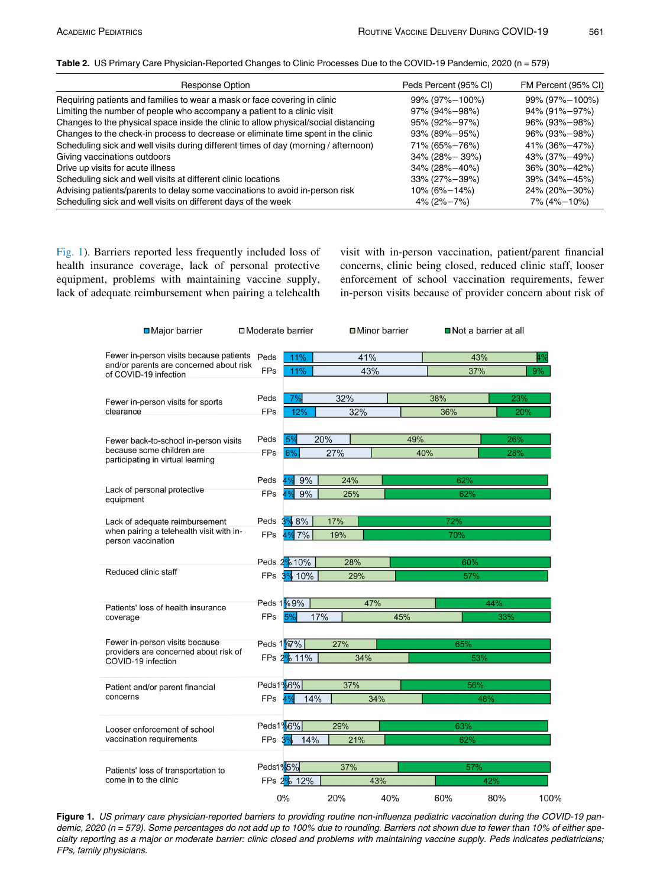<span id="page-2-0"></span>Table 2. US Primary Care Physician-Reported Changes to Clinic Processes Due to the COVID-19 Pandemic, 2020 (n = 579)

| Response Option                                                                     | Peds Percent (95% CI) | FM Percent (95% CI) |  |
|-------------------------------------------------------------------------------------|-----------------------|---------------------|--|
| Requiring patients and families to wear a mask or face covering in clinic           | 99% (97%-100%)        | 99% (97%-100%)      |  |
| Limiting the number of people who accompany a patient to a clinic visit             | 97% (94%-98%)         | 94% (91%-97%)       |  |
| Changes to the physical space inside the clinic to allow physical/social distancing | 95% (92%-97%)         | 96% (93%-98%)       |  |
| Changes to the check-in process to decrease or eliminate time spent in the clinic   | 93% (89%-95%)         | 96% (93%-98%)       |  |
| Scheduling sick and well visits during different times of day (morning / afternoon) | 71% (65%-76%)         | 41% (36%-47%)       |  |
| Giving vaccinations outdoors                                                        | $34\%$ (28% – 39%)    | 43% (37%-49%)       |  |
| Drive up visits for acute illness                                                   | 34% (28%-40%)         | 36% (30%-42%)       |  |
| Scheduling sick and well visits at different clinic locations                       | 33% (27%-39%)         | 39% (34%-45%)       |  |
| Advising patients/parents to delay some vaccinations to avoid in-person risk        | $10\%$ (6% $-14\%$ )  | 24% (20%-30%)       |  |
| Scheduling sick and well visits on different days of the week                       | $4\%$ (2% $-7\%$ )    | 7% (4%-10%)         |  |

<span id="page-2-1"></span>[Fig. 1\)](#page-2-1). Barriers reported less frequently included loss of health insurance coverage, lack of personal protective equipment, problems with maintaining vaccine supply, lack of adequate reimbursement when pairing a telehealth visit with in-person vaccination, patient/parent financial concerns, clinic being closed, reduced clinic staff, looser enforcement of school vaccination requirements, fewer in-person visits because of provider concern about risk of

| <b>□</b> Major barrier                                                             | □ Moderate barrier                   | <b>□</b> Minor barrier |                   | <b>■</b> Not a barrier at all |      |  |
|------------------------------------------------------------------------------------|--------------------------------------|------------------------|-------------------|-------------------------------|------|--|
| Fewer in-person visits because patients<br>and/or parents are concerned about risk | Peds<br>11%                          | 41%                    |                   | 43%<br>4%                     |      |  |
| of COVID-19 infection                                                              | <b>FPs</b><br>11%                    | 43%                    |                   | 37%<br>9%                     |      |  |
| Fewer in-person visits for sports                                                  | Peds<br>7%                           | 32%                    | 38%               | 23%                           |      |  |
| clearance                                                                          | FP <sub>s</sub><br>12%               | 32%                    | 36%               | 20%                           |      |  |
| Fewer back-to-school in-person visits<br>because some children are                 | 5%<br>Peds                           | 20%                    | 49%               | 26%                           |      |  |
| participating in virtual learning                                                  | FPs<br>6%                            | 27%                    | 40%               | 28%                           |      |  |
| Lack of personal protective                                                        | 9%<br>Peds                           | 24%                    | 62%               |                               |      |  |
| equipment                                                                          | <b>FPs</b><br>9%<br>4%               | 25%                    | 62%               |                               |      |  |
| Lack of adequate reimbursement<br>when pairing a telehealth visit with in-         | 3%8%<br>Peds                         | 17%                    | 72%               |                               |      |  |
| person vaccination                                                                 | <b>FPs</b><br>$%7\%$                 | 19%                    | 70%               |                               |      |  |
| Reduced clinic staff                                                               | Peds 2% 10%                          | 28%                    | 60%               |                               |      |  |
|                                                                                    | FPs 3% 10%                           | 29%                    |                   | 57%                           |      |  |
| Patients' loss of health insurance<br>coverage                                     | Peds 1%9%<br>17%<br><b>FPs</b><br>5% | 47%                    | 44%<br>45%<br>33% |                               |      |  |
| Fewer in-person visits because                                                     | Peds 1 <sup>9</sup> 67%              | 27%                    |                   | 65%                           |      |  |
| providers are concerned about risk of<br>COVID-19 infection                        | FPs 2% 11%                           | 34%                    |                   | 53%                           |      |  |
| Patient and/or parent financial                                                    | Peds1%6%                             | 37%                    |                   | 56%                           |      |  |
| concerns                                                                           | FPs<br>14%<br>4%                     | 34%                    |                   | 48%                           |      |  |
| Looser enforcement of school                                                       | Peds1%6%                             | 29%<br>63%             |                   |                               |      |  |
| vaccination requirements                                                           | FPs $3\%$<br>14%                     | 21%                    |                   | 62%                           |      |  |
| Patients' loss of transportation to                                                | Peds1%5%                             | 37%                    |                   | 57%                           |      |  |
| come in to the clinic                                                              | FPs 2% 12%                           | 43%                    |                   | 42%                           |      |  |
|                                                                                    | 0%                                   | 40%<br>20%             | 60%               | 80%                           | 100% |  |

Figure 1. US primary care physician-reported barriers to providing routine non-influenza pediatric vaccination during the COVID-19 pandemic, 2020 (n = 579). Some percentages do not add up to 100% due to rounding. Barriers not shown due to fewer than 10% of either specialty reporting as a major or moderate barrier: clinic closed and problems with maintaining vaccine supply. Peds indicates pediatricians; FPs, family physicians.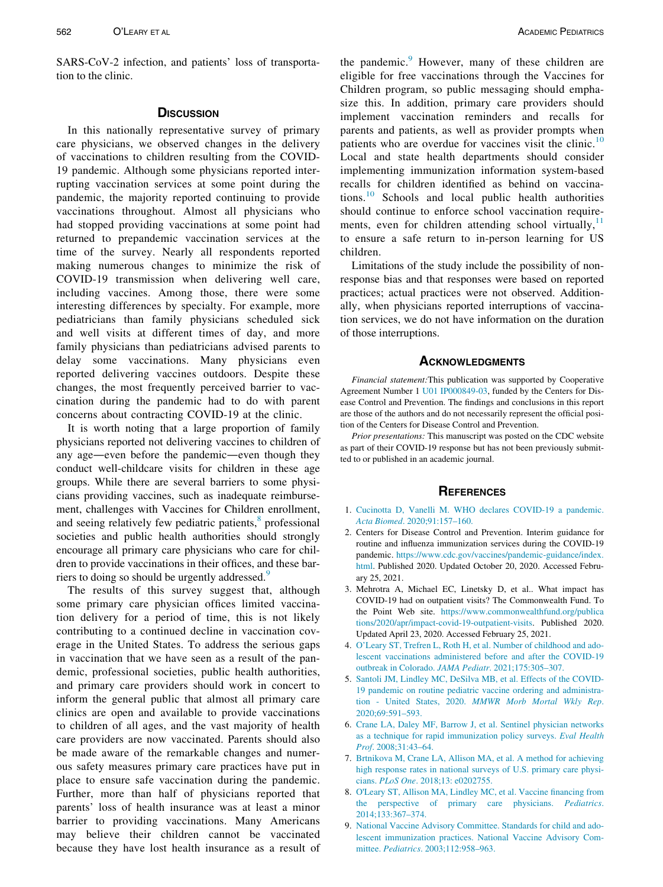SARS-CoV-2 infection, and patients' loss of transportation to the clinic.

### **DISCUSSION**

In this nationally representative survey of primary care physicians, we observed changes in the delivery of vaccinations to children resulting from the COVID-19 pandemic. Although some physicians reported interrupting vaccination services at some point during the pandemic, the majority reported continuing to provide vaccinations throughout. Almost all physicians who had stopped providing vaccinations at some point had returned to prepandemic vaccination services at the time of the survey. Nearly all respondents reported making numerous changes to minimize the risk of COVID-19 transmission when delivering well care, including vaccines. Among those, there were some interesting differences by specialty. For example, more pediatricians than family physicians scheduled sick and well visits at different times of day, and more family physicians than pediatricians advised parents to delay some vaccinations. Many physicians even reported delivering vaccines outdoors. Despite these changes, the most frequently perceived barrier to vaccination during the pandemic had to do with parent concerns about contracting COVID-19 at the clinic.

<span id="page-3-9"></span><span id="page-3-0"></span>It is worth noting that a large proportion of family physicians reported not delivering vaccines to children of any age—even before the pandemic—even though they conduct well-childcare visits for children in these age groups. While there are several barriers to some physicians providing vaccines, such as inadequate reimbursement, challenges with Vaccines for Children enrollment, and seeing relatively few pediatric patients,<sup>[8](#page-3-7)</sup> professional societies and public health authorities should strongly encourage all primary care physicians who care for children to provide vaccinations in their offices, and these bar-riers to doing so should be urgently addressed.<sup>[9](#page-3-8)</sup>

<span id="page-3-8"></span><span id="page-3-7"></span><span id="page-3-6"></span><span id="page-3-5"></span><span id="page-3-4"></span><span id="page-3-3"></span><span id="page-3-2"></span><span id="page-3-1"></span>The results of this survey suggest that, although some primary care physician offices limited vaccination delivery for a period of time, this is not likely contributing to a continued decline in vaccination coverage in the United States. To address the serious gaps in vaccination that we have seen as a result of the pandemic, professional societies, public health authorities, and primary care providers should work in concert to inform the general public that almost all primary care clinics are open and available to provide vaccinations to children of all ages, and the vast majority of health care providers are now vaccinated. Parents should also be made aware of the remarkable changes and numerous safety measures primary care practices have put in place to ensure safe vaccination during the pandemic. Further, more than half of physicians reported that parents' loss of health insurance was at least a minor barrier to providing vaccinations. Many Americans may believe their children cannot be vaccinated because they have lost health insurance as a result of the pandemic.<sup>[9](#page-3-8)</sup> However, many of these children are eligible for free vaccinations through the Vaccines for Children program, so public messaging should emphasize this. In addition, primary care providers should implement vaccination reminders and recalls for parents and patients, as well as provider prompts when patients who are overdue for vaccines visit the clinic.<sup>[10](#page-4-0)</sup> Local and state health departments should consider implementing immunization information system-based recalls for children identified as behind on vaccinations.[10](#page-4-0) Schools and local public health authorities should continue to enforce school vaccination requirements, even for children attending school virtually, $\frac{11}{11}$  $\frac{11}{11}$  $\frac{11}{11}$ to ensure a safe return to in-person learning for US children.

Limitations of the study include the possibility of nonresponse bias and that responses were based on reported practices; actual practices were not observed. Additionally, when physicians reported interruptions of vaccination services, we do not have information on the duration of those interruptions.

Financial statement:This publication was supported by Cooperative Agreement Number 1 [U01 IP000849-03](#page-3-9), funded by the Centers for Disease Control and Prevention. The findings and conclusions in this report are those of the authors and do not necessarily represent the official position of the Centers for Disease Control and Prevention.

Prior presentations: This manuscript was posted on the CDC website as part of their COVID-19 response but has not been previously submitted to or published in an academic journal.

- 1. [Cucinotta D, Vanelli M. WHO declares COVID-19 a pandemic.](http://refhub.elsevier.com/S1876-2859(21)00526-X/sbref0001) Acta Biomed[. 2020;91:157–160.](http://refhub.elsevier.com/S1876-2859(21)00526-X/sbref0001)
- 2. Centers for Disease Control and Prevention. Interim guidance for routine and influenza immunization services during the COVID-19 pandemic. [https://www.cdc.gov/vaccines/pandemic-guidance/index.](https://www.cdc.gov/vaccines/pandemic-guidance/index.html) [html.](https://www.cdc.gov/vaccines/pandemic-guidance/index.html) Published 2020. Updated October 20, 2020. Accessed February 25, 2021.
- 3. Mehrotra A, Michael EC, Linetsky D, et al.. What impact has COVID-19 had on outpatient visits? The Commonwealth Fund. To the Point Web site. [https://www.commonwealthfund.org/publica](https://www.commonwealthfund.org/publications/2020/apr/impact-covid-19-outpatient-visits) [tions/2020/apr/impact-covid-19-outpatient-visits.](https://www.commonwealthfund.org/publications/2020/apr/impact-covid-19-outpatient-visits) Published 2020. Updated April 23, 2020. Accessed February 25, 2021.
- 4. [O](http://refhub.elsevier.com/S1876-2859(21)00526-X/sbref0004)'[Leary ST, Trefren L, Roth H, et al. Number of childhood and ado](http://refhub.elsevier.com/S1876-2859(21)00526-X/sbref0004)[lescent vaccinations administered before and after the COVID-19](http://refhub.elsevier.com/S1876-2859(21)00526-X/sbref0004) [outbreak in Colorado.](http://refhub.elsevier.com/S1876-2859(21)00526-X/sbref0004) JAMA Pediatr. 2021;175:305–307.
- 5. [Santoli JM, Lindley MC, DeSilva MB, et al. Effects of the COVID-](http://refhub.elsevier.com/S1876-2859(21)00526-X/sbref0005)[19 pandemic on routine pediatric vaccine ordering and administra](http://refhub.elsevier.com/S1876-2859(21)00526-X/sbref0005)[tion - United States, 2020.](http://refhub.elsevier.com/S1876-2859(21)00526-X/sbref0005) MMWR Morb Mortal Wkly Rep. [2020;69:591–593.](http://refhub.elsevier.com/S1876-2859(21)00526-X/sbref0005)
- 6. [Crane LA, Daley MF, Barrow J, et al. Sentinel physician networks](http://refhub.elsevier.com/S1876-2859(21)00526-X/sbref0006) [as a technique for rapid immunization policy surveys.](http://refhub.elsevier.com/S1876-2859(21)00526-X/sbref0006) Eval Health Prof[. 2008;31:43–64.](http://refhub.elsevier.com/S1876-2859(21)00526-X/sbref0006)
- 7. [Brtnikova M, Crane LA, Allison MA, et al. A method for achieving](http://refhub.elsevier.com/S1876-2859(21)00526-X/sbref0007) [high response rates in national surveys of U.S. primary care physi](http://refhub.elsevier.com/S1876-2859(21)00526-X/sbref0007)cians. PLoS One[. 2018;13: e0202755.](http://refhub.elsevier.com/S1876-2859(21)00526-X/sbref0007)
- 8. O'[Leary ST, Allison MA, Lindley MC, et al. Vaccine financing from](http://refhub.elsevier.com/S1876-2859(21)00526-X/sbref0008) [the perspective of primary care physicians.](http://refhub.elsevier.com/S1876-2859(21)00526-X/sbref0008) Pediatrics. [2014;133:367–374.](http://refhub.elsevier.com/S1876-2859(21)00526-X/sbref0008)
- 9. [National Vaccine Advisory Committee. Standards for child and ado](http://refhub.elsevier.com/S1876-2859(21)00526-X/sbref0009)[lescent immunization practices. National Vaccine Advisory Com](http://refhub.elsevier.com/S1876-2859(21)00526-X/sbref0009)mittee. Pediatrics[. 2003;112:958–963.](http://refhub.elsevier.com/S1876-2859(21)00526-X/sbref0009)